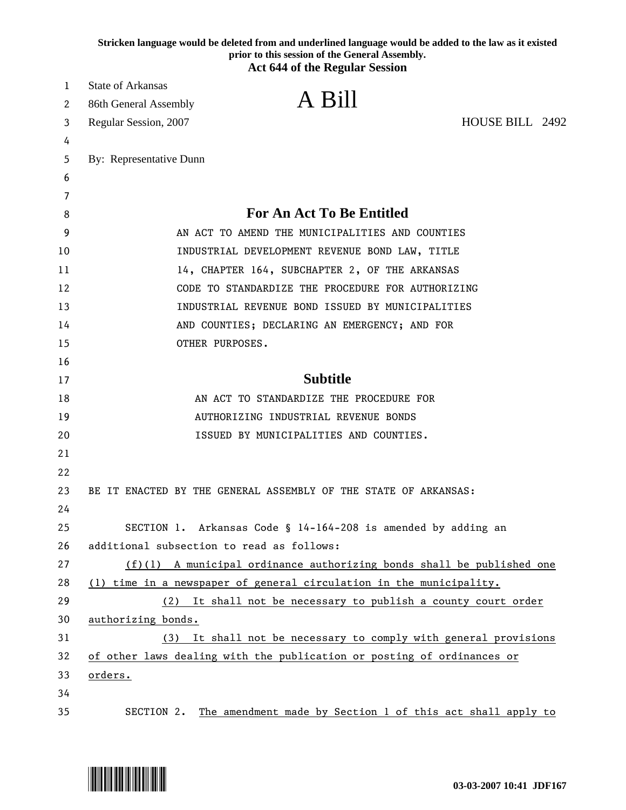|    | Stricken language would be deleted from and underlined language would be added to the law as it existed<br>prior to this session of the General Assembly.<br><b>Act 644 of the Regular Session</b> |
|----|----------------------------------------------------------------------------------------------------------------------------------------------------------------------------------------------------|
| 1  | <b>State of Arkansas</b>                                                                                                                                                                           |
| 2  | A Bill<br>86th General Assembly                                                                                                                                                                    |
| 3  | HOUSE BILL 2492<br>Regular Session, 2007                                                                                                                                                           |
| 4  |                                                                                                                                                                                                    |
| 5  | By: Representative Dunn                                                                                                                                                                            |
| 6  |                                                                                                                                                                                                    |
| 7  |                                                                                                                                                                                                    |
| 8  | <b>For An Act To Be Entitled</b>                                                                                                                                                                   |
| 9  | AN ACT TO AMEND THE MUNICIPALITIES AND COUNTIES                                                                                                                                                    |
| 10 | INDUSTRIAL DEVELOPMENT REVENUE BOND LAW, TITLE                                                                                                                                                     |
| 11 | 14, CHAPTER 164, SUBCHAPTER 2, OF THE ARKANSAS                                                                                                                                                     |
| 12 | CODE TO STANDARDIZE THE PROCEDURE FOR AUTHORIZING                                                                                                                                                  |
| 13 | INDUSTRIAL REVENUE BOND ISSUED BY MUNICIPALITIES                                                                                                                                                   |
| 14 | AND COUNTIES; DECLARING AN EMERGENCY; AND FOR                                                                                                                                                      |
| 15 | OTHER PURPOSES.                                                                                                                                                                                    |
| 16 |                                                                                                                                                                                                    |
| 17 | <b>Subtitle</b>                                                                                                                                                                                    |
| 18 | AN ACT TO STANDARDIZE THE PROCEDURE FOR                                                                                                                                                            |
| 19 | AUTHORIZING INDUSTRIAL REVENUE BONDS                                                                                                                                                               |
| 20 | ISSUED BY MUNICIPALITIES AND COUNTIES.                                                                                                                                                             |
| 21 |                                                                                                                                                                                                    |
| 22 |                                                                                                                                                                                                    |
| 23 | BE IT ENACTED BY THE GENERAL ASSEMBLY OF THE STATE OF ARKANSAS:                                                                                                                                    |
| 24 |                                                                                                                                                                                                    |
| 25 | SECTION 1. Arkansas Code § 14-164-208 is amended by adding an                                                                                                                                      |
| 26 | additional subsection to read as follows:                                                                                                                                                          |
| 27 | $(f)(1)$ A municipal ordinance authorizing bonds shall be published one                                                                                                                            |
| 28 | (1) time in a newspaper of general circulation in the municipality.                                                                                                                                |
| 29 | (2) It shall not be necessary to publish a county court order                                                                                                                                      |
| 30 | authorizing bonds.                                                                                                                                                                                 |
| 31 | (3) It shall not be necessary to comply with general provisions                                                                                                                                    |
| 32 | of other laws dealing with the publication or posting of ordinances or                                                                                                                             |
| 33 | orders.                                                                                                                                                                                            |
| 34 |                                                                                                                                                                                                    |
| 35 | SECTION 2.<br>The amendment made by Section 1 of this act shall apply to                                                                                                                           |